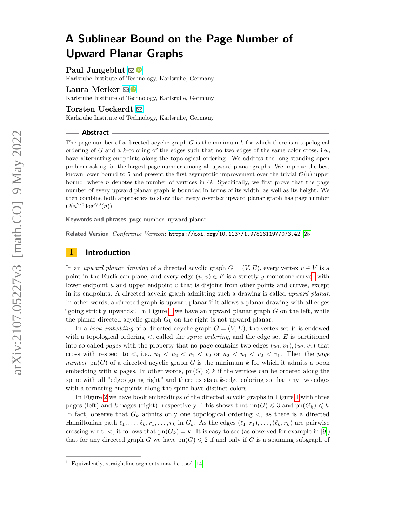# **A Sublinear Bound on the Page Number of Upward Planar Graphs**

**Paul Jungeblut** ⊠<sup>■</sup>

Karlsruhe Institute of Technology, Karlsruhe, Germany

Laura Merker **⊠** 

Karlsruhe Institute of Technology, Karlsruhe, Germany

**Torsten Ueckerdt** [!](mailto:torsten.ueckerdt@kit.edu)

Karlsruhe Institute of Technology, Karlsruhe, Germany

#### **Abstract**

The page number of a directed acyclic graph *G* is the minimum *k* for which there is a topological ordering of *G* and a *k*-coloring of the edges such that no two edges of the same color cross, i.e., have alternating endpoints along the topological ordering. We address the long-standing open problem asking for the largest page number among all upward planar graphs. We improve the best known lower bound to 5 and present the first asymptotic improvement over the trivial  $\mathcal{O}(n)$  upper bound, where  $n$  denotes the number of vertices in  $G$ . Specifically, we first prove that the page number of every upward planar graph is bounded in terms of its width, as well as its height. We then combine both approaches to show that every *n*-vertex upward planar graph has page number  $\mathcal{O}(n^{2/3} \log^{2/3}(n)).$ 

**Keywords and phrases** page number, upward planar

**Related Version** *Conference Version*: <https://doi.org/10.1137/1.9781611977073.42> [\[25\]](#page-19-0)

### **1 Introduction**

In an *upward planar drawing* of a directed acyclic graph  $G = (V, E)$ , every vertex  $v \in V$  is a point in the Euclidean plane, and every edge  $(u, v) \in E$  is a strictly *y*-monotone curve<sup>[1](#page-0-0)</sup> with lower endpoint *u* and upper endpoint *v* that is disjoint from other points and curves, except in its endpoints. A directed acyclic graph admitting such a drawing is called *upward planar*. In other words, a directed graph is upward planar if it allows a planar drawing with all edges "going strictly upwards". In Figure [1](#page-1-0) we have an upward planar graph *G* on the left, while the planar directed acyclic graph  $G_k$  on the right is not upward planar.

In a *book embedding* of a directed acyclic graph  $G = (V, E)$ , the vertex set V is endowed with a topological ordering *<*, called the *spine ordering*, and the edge set *E* is partitioned into so-called *pages* with the property that no page contains two edges  $(u_1, v_1), (u_2, v_2)$  that cross with respect to  $\langle$ , i.e.,  $u_1 \langle u_2 \langle v_1 \rangle \langle v_2 \rangle$  or  $u_2 \langle u_1 \rangle \langle v_2 \rangle \langle v_1 \rangle$ . Then the *page number*  $\text{pn}(G)$  of a directed acyclic graph G is the minimum k for which it admits a book embedding with *k* pages. In other words,  $pn(G) \leq k$  if the vertices can be ordered along the spine with all "edges going right" and there exists a *k*-edge coloring so that any two edges with alternating endpoints along the spine have distinct colors.

In Figure [2](#page-1-1) we have book embeddings of the directed acyclic graphs in Figure [1](#page-1-0) with three pages (left) and *k* pages (right), respectively. This shows that  $pn(G) \leq 3$  and  $pn(G_k) \leq k$ . In fact, observe that  $G_k$  admits only one topological ordering  $\lt$ , as there is a directed Hamiltonian path  $\ell_1, \ldots, \ell_k, r_1, \ldots, r_k$  in  $G_k$ . As the edges  $(\ell_1, r_1), \ldots, (\ell_k, r_k)$  are pairwise crossing w.r.t.  $\lt$ , it follows that  $\text{pn}(G_k) = k$ . It is easy to see (as observed for example in [\[9\]](#page-18-0)) that for any directed graph *G* we have  $pn(G) \leq 2$  if and only if *G* is a spanning subgraph of

<span id="page-0-0"></span><sup>1</sup> Equivalently, straightline segments may be used [\[14\]](#page-18-1).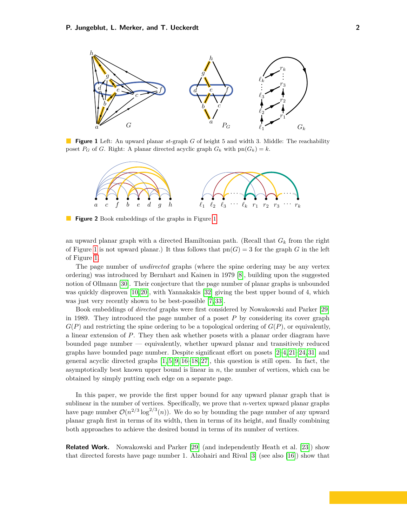<span id="page-1-0"></span>

<span id="page-1-1"></span>**Figure 1** Left: An upward planar *st*-graph *G* of height 5 and width 3. Middle: The reachability poset  $P_G$  of *G*. Right: A planar directed acyclic graph  $G_k$  with  $pn(G_k) = k$ .



**Figure 2** Book embeddings of the graphs in Figure [1.](#page-1-0)

an upward planar graph with a directed Hamiltonian path. (Recall that *G<sup>k</sup>* from the right of Figure [1](#page-1-0) is not upward planar.) It thus follows that  $pn(G) = 3$  for the graph *G* in the left of Figure [1.](#page-1-0)

The page number of *undirected* graphs (where the spine ordering may be any vertex ordering) was introduced by Bernhart and Kainen in 1979 [\[8\]](#page-18-2), building upon the suggested notion of Ollmann [\[30\]](#page-19-1). Their conjecture that the page number of planar graphs is unbounded was quickly disproven [\[10,](#page-18-3) [20\]](#page-19-2), with Yannakakis [\[32\]](#page-19-3) giving the best upper bound of 4, which was just very recently shown to be best-possible [\[7,](#page-18-4) [33\]](#page-19-4).

Book embeddings of *directed* graphs were first considered by Nowakowski and Parker [\[29\]](#page-19-5) in 1989. They introduced the page number of a poset *P* by considering its cover graph  $G(P)$  and restricting the spine ordering to be a topological ordering of  $G(P)$ , or equivalently, a linear extension of *P*. They then ask whether posets with a planar order diagram have bounded page number — equivalently, whether upward planar and transitively reduced graphs have bounded page number. Despite significant effort on posets [\[2–](#page-18-5)[4,](#page-18-6) [21–](#page-19-6)[24,](#page-19-7) [31\]](#page-19-8) and general acyclic directed graphs  $[1, 5, 9, 16-18, 27]$  $[1, 5, 9, 16-18, 27]$  $[1, 5, 9, 16-18, 27]$  $[1, 5, 9, 16-18, 27]$  $[1, 5, 9, 16-18, 27]$  $[1, 5, 9, 16-18, 27]$ , this question is still open. In fact, the asymptotically best known upper bound is linear in *n*, the number of vertices, which can be obtained by simply putting each edge on a separate page.

In this paper, we provide the first upper bound for any upward planar graph that is sublinear in the number of vertices. Specifically, we prove that *n*-vertex upward planar graphs have page number  $\mathcal{O}(n^{2/3} \log^{2/3}(n))$ . We do so by bounding the page number of any upward planar graph first in terms of its width, then in terms of its height, and finally combining both approaches to achieve the desired bound in terms of its number of vertices.

**Related Work.** Nowakowski and Parker [\[29\]](#page-19-5) (and independently Heath et al. [\[23\]](#page-19-11)) show that directed forests have page number 1. Alzohairi and Rival [\[3\]](#page-18-10) (see also [\[16\]](#page-18-9)) show that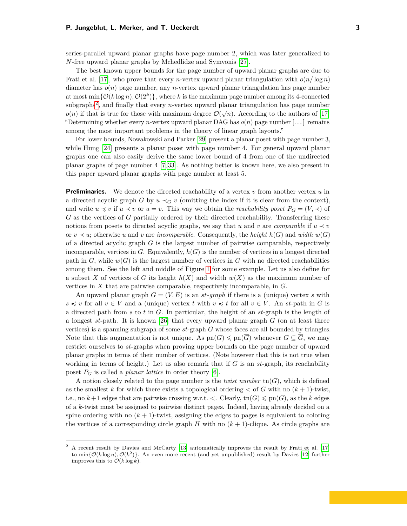series-parallel upward planar graphs have page number 2, which was later generalized to *N*-free upward planar graphs by Mchedlidze and Symvonis [\[27\]](#page-19-10).

The best known upper bounds for the page number of upward planar graphs are due to Frati et al. [\[17\]](#page-18-11), who prove that every *n*-vertex upward planar triangulation with  $o(n/\log n)$ diameter has *o*(*n*) page number, any *n*-vertex upward planar triangulation has page number at most  $\min\{\mathcal{O}(k\log n), \mathcal{O}(2^k)\}\$ , where *k* is the maximum page number among its 4-connected subgraphs<sup>[2](#page-2-0)</sup>, and finally that every *n*-vertex upward planar triangulation has page number  $o(n)$  if that is true for those with maximum degree  $\mathcal{O}(\sqrt{n})$ . According to the authors of [\[17\]](#page-18-11) "Determining whether every *n*-vertex upward planar DAG has  $o(n)$  page number  $\ldots$  remains among the most important problems in the theory of linear graph layouts."

For lower bounds, Nowakowski and Parker [\[29\]](#page-19-5) present a planar poset with page number 3, while Hung [\[24\]](#page-19-7) presents a planar poset with page number 4. For general upward planar graphs one can also easily derive the same lower bound of 4 from one of the undirected planar graphs of page number 4 [\[7,](#page-18-4) [33\]](#page-19-4). As nothing better is known here, we also present in this paper upward planar graphs with page number at least 5.

**Preliminaries.** We denote the directed reachability of a vertex *v* from another vertex *u* in a directed acyclic graph *G* by  $u \prec_G v$  (omitting the index if it is clear from the context), and write  $u \preccurlyeq v$  if  $u \prec v$  or  $u = v$ . This way we obtain the *reachability poset*  $P_G = (V, \prec)$  of *G* as the vertices of *G* partially ordered by their directed reachability. Transferring these notions from posets to directed acyclic graphs, we say that *u* and *v* are *comparable* if  $u \prec v$ or  $v \prec u$ ; otherwise *u* and *v* are *incomparable*. Consequently, the *height*  $h(G)$  and *width*  $w(G)$ of a directed acyclic graph *G* is the largest number of pairwise comparable, respectively incomparable, vertices in  $G$ . Equivalently,  $h(G)$  is the number of vertices in a longest directed path in  $G$ , while  $w(G)$  is the largest number of vertices in  $G$  with no directed reachabilities among them. See the left and middle of Figure [1](#page-1-0) for some example. Let us also define for a subset X of vertices of G its height  $h(X)$  and width  $w(X)$  as the maximum number of vertices in *X* that are pairwise comparable, respectively incomparable, in *G*.

An upward planar graph  $G = (V, E)$  is an *st*-graph if there is a (unique) vertex *s* with  $s \preccurlyeq v$  for all  $v \in V$  and a (unique) vertex *t* with  $v \preccurlyeq t$  for all  $v \in V$ . An *st*-path in *G* is a directed path from *s* to *t* in *G*. In particular, the height of an *st*-graph is the length of a longest *st*-path. It is known [\[26\]](#page-19-12) that every upward planar graph *G* (on at least three vertices) is a spanning subgraph of some  $st$ -graph  $\overline{G}$  whose faces are all bounded by triangles. Note that this augmentation is not unique. As  $pn(G) \leqslant pn(\overline{G})$  whenever  $G \subseteq \overline{G}$ , we may restrict ourselves to *st*-graphs when proving upper bounds on the page number of upward planar graphs in terms of their number of vertices. (Note however that this is not true when working in terms of height.) Let us also remark that if *G* is an *st*-graph, its reachability poset  $P_G$  is called a *planar lattice* in order theory [\[6\]](#page-18-12).

A notion closely related to the page number is the *twist number*  $\text{tn}(G)$ , which is defined as the smallest *k* for which there exists a topological ordering  $\lt$  of *G* with no  $(k+1)$ -twist, i.e., no  $k+1$  edges that are pairwise crossing w.r.t.  $\lt$ . Clearly,  $\text{tn}(G) \leqslant \text{pn}(G)$ , as the *k* edges of a *k*-twist must be assigned to pairwise distinct pages. Indeed, having already decided on a spine ordering with no  $(k+1)$ -twist, assigning the edges to pages is equivalent to coloring the vertices of a corresponding circle graph *H* with no  $(k + 1)$ -clique. As circle graphs are

<span id="page-2-0"></span><sup>2</sup> A recent result by Davies and McCarty [\[13\]](#page-18-13) automatically improves the result by Frati et al. [\[17\]](#page-18-11) to  $\min\{\mathcal{O}(k\log n), \mathcal{O}(k^2)\}\.$  An even more recent (and yet unpublished) result by Davies [\[12\]](#page-18-14) further improves this to  $\mathcal{O}(k \log k)$ .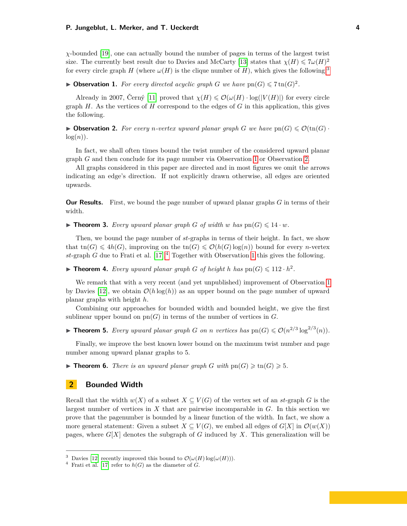*χ*-bounded [\[19\]](#page-19-13), one can actually bound the number of pages in terms of the largest twist size. The currently best result due to Davies and McCarty [\[13\]](#page-18-13) states that  $\chi(H) \leq \frac{7\omega(H)^2}{2\pi}$ for every circle graph *H* (where  $\omega(H)$  is the clique number of *H*), which gives the following.<sup>[3](#page-3-0)</sup>

<span id="page-3-1"></span>**Dbservation 1.** For every directed acyclic graph *G* we have  $pn(G) \leq 7 \text{tn}(G)^2$ .

Already in 2007, Černý [\[11\]](#page-18-15) proved that  $\chi(H) \leq \mathcal{O}(\omega(H) \cdot \log(|V(H)|)$  for every circle graph *H*. As the vertices of *H* correspond to the edges of *G* in this application, this gives the following.

<span id="page-3-2"></span>**• Observation 2.** For every *n*-vertex upward planar graph *G* we have  $pn(G) \leq \mathcal{O}(tn(G))$ .  $log(n)$ .

In fact, we shall often times bound the twist number of the considered upward planar graph *G* and then conclude for its page number via Observation [1](#page-3-1) or Observation [2.](#page-3-2)

All graphs considered in this paper are directed and in most figures we omit the arrows indicating an edge's direction. If not explicitly drawn otherwise, all edges are oriented upwards.

**Our Results.** First, we bound the page number of upward planar graphs *G* in terms of their width.

<span id="page-3-4"></span>**Findment 3.** Every upward planar graph G of width w has  $pn(G) \leq 14 \cdot w$ .

Then, we bound the page number of *st*-graphs in terms of their height. In fact, we show that  $\text{tn}(G) \leq \text{4}h(G)$ , improving on the  $\text{tn}(G) \leq \mathcal{O}(h(G) \log(n))$  bound for every *n*-vertex *st*-graph *G* due to Frati et al. [\[17\]](#page-18-11).[4](#page-3-3) Together with Observation [1](#page-3-1) this gives the following.

<span id="page-3-5"></span>**Fineorem 4.** *Every upward planar graph G of height h has*  $\text{pn}(G) \leq 112 \cdot h^2$ .

We remark that with a very recent (and yet unpublished) improvement of Observation [1](#page-3-1) by Davies [\[12\]](#page-18-14), we obtain  $\mathcal{O}(h \log(h))$  as an upper bound on the page number of upward planar graphs with height *h*.

Combining our approaches for bounded width and bounded height, we give the first sublinear upper bound on  $pn(G)$  in terms of the number of vertices in  $G$ .

<span id="page-3-6"></span>**Fineorem 5.** *Every upward planar graph G on n vertices has*  $\text{pn}(G) \leq \mathcal{O}(n^{2/3} \log^{2/3}(n))$ *.* 

Finally, we improve the best known lower bound on the maximum twist number and page number among upward planar graphs to 5.

<span id="page-3-7"></span>**Findment 6.** There is an upward planar graph G with  $\text{pn}(G) \geqslant \text{tn}(G) \geqslant 5$ .

## **2 Bounded Width**

Recall that the width  $w(X)$  of a subset  $X \subseteq V(G)$  of the vertex set of an *st*-graph G is the largest number of vertices in *X* that are pairwise incomparable in *G*. In this section we prove that the pagenumber is bounded by a linear function of the width. In fact, we show a more general statement: Given a subset  $X \subseteq V(G)$ , we embed all edges of  $G[X]$  in  $\mathcal{O}(w(X))$ pages, where  $G[X]$  denotes the subgraph of  $G$  induced by  $X$ . This generalization will be

<span id="page-3-0"></span><sup>&</sup>lt;sup>3</sup> Davies [\[12\]](#page-18-14) recently improved this bound to  $\mathcal{O}(\omega(H) \log(\omega(H)))$ .

<span id="page-3-3"></span><sup>&</sup>lt;sup>4</sup> Frati et al. [\[17\]](#page-18-11) refer to  $h(G)$  as the diameter of *G*.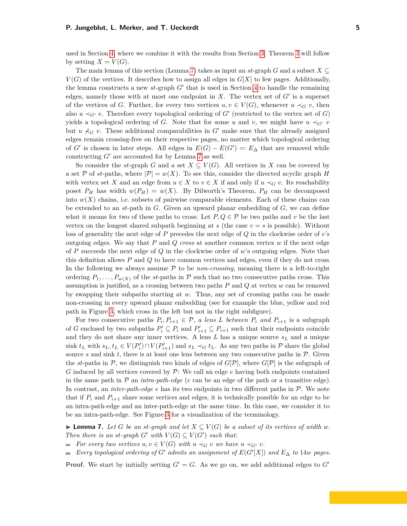used in Section [4,](#page-9-0) where we combine it with the results from Section [3.](#page-7-0) Theorem [3](#page-3-4) will follow by setting  $X = V(G)$ .

The main lemma of this section (Lemma [7\)](#page-4-0) takes as input an  $st$ -graph  $G$  and a subset  $X \subseteq$  $V(G)$  of the vertices. It describes how to assign all edges in  $G[X]$  to few pages. Additionally, the lemma constructs a new  $st$ -graph  $G'$  that is used in Section [4](#page-9-0) to handle the remaining edges, namely those with at most one endpoint in  $X$ . The vertex set of  $G'$  is a superset of the vertices of *G*. Further, for every two vertices  $u, v \in V(G)$ , whenever  $u \prec_G v$ , then also  $u \prec_{G'} v$ . Therefore every topological ordering of  $G'$  (restricted to the vertex set of  $G$ ) yields a topological ordering of *G*. Note that for some *u* and *v*, we might have  $u \prec_{G} v$ but  $u \nprec_G v$ . These additional comparabilities in G<sup>t</sup> make sure that the already assigned edges remain crossing-free on their respective pages, no matter which topological ordering of *G*<sup> $\prime$ </sup> is chosen in later steps. All edges in  $E(G) - E(G') =: E_{\Delta}$  that are removed while constructing  $G'$  are accounted for by Lemma [7](#page-4-0) as well.

So consider the *st*-graph *G* and a set  $X \subseteq V(G)$ . All vertices in *X* can be covered by a set  $\mathcal P$  of *st*-paths, where  $|\mathcal P| = w(X)$ . To see this, consider the directed acyclic graph *H* with vertex set *X* and an edge from  $u \in X$  to  $v \in X$  if and only if  $u \prec_G v$ . Its reachability poset  $P_H$  has width  $w(P_H) = w(X)$ . By Dilworth's Theorem,  $P_H$  can be decomposed into  $w(X)$  chains, i.e. subsets of pairwise comparable elements. Each of these chains can be extended to an *st*-path in *G*. Given an upward planar embedding of *G*, we can define what it means for two of these paths to cross: Let  $P, Q \in \mathcal{P}$  be two paths and v be the last vertex on the longest shared subpath beginning at  $s$  (the case  $v = s$  is possible). Without loss of generality the next edge of *P* precedes the next edge of *Q* in the clockwise order of *v*'s outgoing edges. We say that *P* and *Q cross* at another common vertex *w* if the next edge of *P* succeeds the next edge of *Q* in the clockwise order of *w*'s outgoing edges. Note that this definition allows *P* and *Q* to have common vertices and edges, even if they do not cross. In the following we always assume  $P$  to be *non-crossing*, meaning there is a left-to-right ordering  $P_1, \ldots, P_{w(X)}$  of the *st*-paths in P such that no two consecutive paths cross. This assumption is justified, as a crossing between two paths *P* and *Q* at vertex *w* can be removed by swapping their subpaths starting at *w*. Thus, any set of crossing paths can be made non-crossing in every upward planar embedding (see for example the blue, yellow and red path in Figure [3,](#page-5-0) which cross in the left but not in the right subfigure).

For two consecutive paths  $P_i, P_{i+1} \in \mathcal{P}$ , a *lens L between*  $P_i$  *and*  $P_{i+1}$  is a subgraph of *G* enclosed by two subpaths  $P'_i \subseteq P_i$  and  $P'_{i+1} \subseteq P_{i+1}$  such that their endpoints coincide and they do not share any inner vertices. A lens *L* has a unique source *s<sup>L</sup>* and a unique sink  $t_L$  with  $s_L, t_L \in V(P'_i) \cap V(P'_{i+1})$  and  $s_L \prec_G t_L$ . As any two paths in  $P$  share the global source  $s$  and sink  $t$ , there is at least one lens between any two consecutive paths in  $\mathcal{P}$ . Given the *st*-paths in  $P$ , we distinguish two kinds of edges of  $G[P]$ , where  $G[P]$  is the subgraph of *G* induced by all vertices covered by P: We call an edge *e* having both endpoints contained in the same path in  $P$  an *intra-path-edge* (*e* can be an edge of the path or a transitive edge). In contrast, an *inter-path-edge e* has its two endpoints in two different paths in P. We note that if  $P_i$  and  $P_{i+1}$  share some vertices and edges, it is technically possible for an edge to be an intra-path-edge and an inter-path-edge at the same time. In this case, we consider it to be an intra-path-edge. See Figure [3](#page-5-0) for a visualization of the terminology.

<span id="page-4-0"></span>▶ **Lemma 7.** *Let G be an st-graph and let*  $X ⊆ V(G)$  *be a subset of its vertices of width w. Then there is an st-graph*  $G'$  *with*  $V(G) \subseteq V(G')$  *such that:* 

- *For every two vertices*  $u, v \in V(G)$  *with*  $u \prec_G v$  *we have*  $u \prec_{G'} v$ *.*
- *Every topological ordering of*  $G'$  *admits an assignment of*  $E(G'[X])$  *and*  $E_{\Delta}$  *to* 14*w pages.*

**Proof.** We start by initially setting  $G' = G$ . As we go on, we add additional edges to  $G'$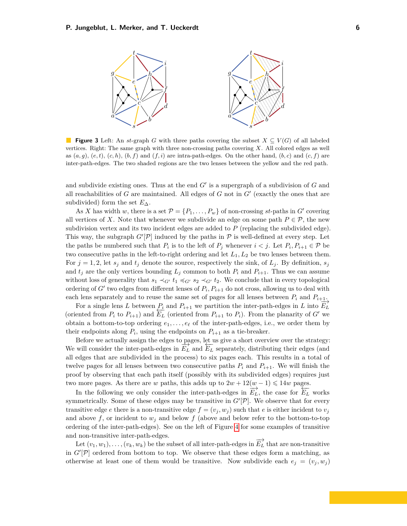<span id="page-5-0"></span>

**Figure 3** Left: An *st*-graph *G* with three paths covering the subset  $X \subseteq V(G)$  of all labeled vertices. Right: The same graph with three non-crossing paths covering *X*. All colored edges as well as  $(a, q)$ ,  $(e, t)$ ,  $(c, h)$ ,  $(b, f)$  and  $(f, i)$  are intra-path-edges. On the other hand,  $(b, c)$  and  $(c, f)$  are inter-path-edges. The two shaded regions are the two lenses between the yellow and the red path.

and subdivide existing ones. Thus at the end  $G'$  is a supergraph of a subdivision of  $G$  and all reachabilities of  $G$  are maintained. All edges of  $G$  not in  $G'$  (exactly the ones that are subdivided) form the set  $E_{\Delta}$ .

As *X* has width *w*, there is a set  $\mathcal{P} = \{P_1, \ldots, P_w\}$  of non-crossing *st*-paths in *G'* covering all vertices of *X*. Note that whenever we subdivide an edge on some path  $P \in \mathcal{P}$ , the new subdivision vertex and its two incident edges are added to *P* (replacing the subdivided edge). This way, the subgraph  $G'[\mathcal{P}]$  induced by the paths in  $\mathcal P$  is well-defined at every step. Let the paths be numbered such that  $P_i$  is to the left of  $P_j$  whenever  $i < j$ . Let  $P_i, P_{i+1} \in \mathcal{P}$  be two consecutive paths in the left-to-right ordering and let *L*1*, L*<sup>2</sup> be two lenses between them. For  $j = 1, 2$ , let  $s_j$  and  $t_j$  denote the source, respectively the sink, of  $L_j$ . By definition,  $s_j$ and  $t_j$  are the only vertices bounding  $L_j$  common to both  $P_i$  and  $P_{i+1}$ . Thus we can assume without loss of generality that  $s_1 \prec_{G'} t_1 \preccurlyeq_{G'} s_2 \prec_{G'} t_2$ . We conclude that in every topological ordering of  $G'$  two edges from different lenses of  $P_i$ ,  $P_{i+1}$  do not cross, allowing us to deal with each lens separately and to reuse the same set of pages for all lenses between  $P_i$  and  $P_{i+1}$ .

For a single lens *L* between  $P_i$  and  $P_{i+1}$  we partition the inter-path-edges in *L* into  $E_L$ (oriented from  $P_i$  to  $P_{i+1}$ ) and  $E_L$  (oriented from  $P_{i+1}$  to  $P_i$ ). From the planarity of *G'* we obtain a bottom-to-top ordering  $e_1, \ldots, e_\ell$  of the inter-path-edges, i.e., we order them by their endpoints along  $P_i$ , using the endpoints on  $P_{i+1}$  as a tie-breaker.

Before we actually assign the edges to pages, let us give a short overview over the strategy: We will consider the inter-path-edges in  $\overrightarrow{E_L}$  and  $\overleftarrow{E_L}$  separately, distributing their edges (and all edges that are subdivided in the process) to six pages each. This results in a total of twelve pages for all lenses between two consecutive paths  $P_i$  and  $P_{i+1}$ . We will finish the proof by observing that each path itself (possibly with its subdivided edges) requires just two more pages. As there are *w* paths, this adds up to  $2w + 12(w - 1) \leq 14w$  pages.

In the following we only consider the inter-path-edges in  $\overrightarrow{E_L}$ , the case for  $\overleftarrow{E_L}$  works symmetrically. Some of these edges may be transitive in  $G'[\mathcal{P}]$ . We observe that for every transitive edge *e* there is a non-transitive edge  $f = (v_j, w_j)$  such that *e* is either incident to  $v_j$ and above  $f$ , or incident to  $w_j$  and below  $f$  (above and below refer to the bottom-to-top ordering of the inter-path-edges). See on the left of Figure [4](#page-6-0) for some examples of transitive and non-transitive inter-path-edges.

Let  $(v_1, w_1), \ldots, (v_k, w_k)$  be the subset of all inter-path-edges in  $\overrightarrow{E_L}$  that are non-transitive in  $G'[\mathcal{P}]$  ordered from bottom to top. We observe that these edges form a matching, as otherwise at least one of them would be transitive. Now subdivide each  $e_j = (v_j, w_j)$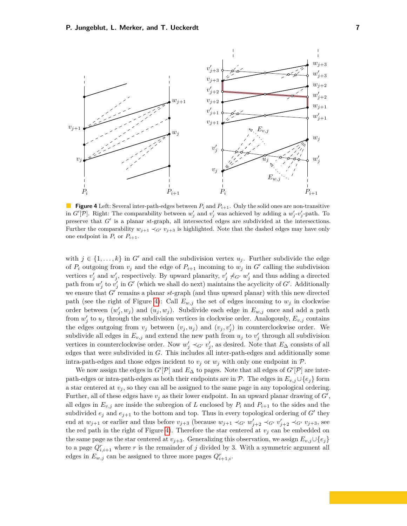<span id="page-6-0"></span>

**Figure 4** Left: Several inter-path-edges between  $P_i$  and  $P_{i+1}$ . Only the solid ones are non-transitive in *G'*[*P*]. Right: The comparability between  $w'_j$  and  $v'_j$  was achieved by adding a  $w'_j$ - $v'_j$ -path. To preserve that *G*<sup>'</sup> is a planar *st*-graph, all intersected edges are subdivided at the intersections. Further the comparability  $w_{j+1} \prec_{G} v_{j+3}$  is highlighted. Note that the dashed edges may have only one endpoint in  $P_i$  or  $P_{i+1}$ .

with  $j \in \{1, \ldots, k\}$  in *G*<sup> $\prime$ </sup> and call the subdivision vertex  $u_j$ . Further subdivide the edge of  $P_i$  outgoing from  $v_j$  and the edge of  $P_{i+1}$  incoming to  $w_j$  in  $G'$  calling the subdivision vertices  $v'_j$  and  $w'_j$ , respectively. By upward planarity,  $v'_j \nprec_{G'} w'_j$  and thus adding a directed path from  $w'_{j}$  to  $v'_{j}$  in  $G'$  (which we shall do next) maintains the acyclicity of  $G'$ . Additionally we ensure that  $G'$  remains a planar  $st$ -graph (and thus upward planar) with this new directed path (see the right of Figure [4\)](#page-6-0): Call  $E_{w,j}$  the set of edges incoming to  $w_j$  in clockwise order between  $(w'_j, w_j)$  and  $(u_j, w_j)$ . Subdivide each edge in  $E_{w,j}$  once and add a path from  $w'_{j}$  to  $u_{j}$  through the subdivision vertices in clockwise order. Analogously,  $E_{v,j}$  contains the edges outgoing from  $v_j$  between  $(v_j, u_j)$  and  $(v_j, v'_j)$  in counterclockwise order. We subdivide all edges in  $E_{v,j}$  and extend the new path from  $u_j$  to  $v'_j$  through all subdivision vertices in counterclockwise order. Now  $w'_j \prec_{G'} v'_j$ , as desired. Note that  $E_\Delta$  consists of all edges that were subdivided in *G*. This includes all inter-path-edges and additionally some intra-path-edges and those edges incident to  $v_j$  or  $w_j$  with only one endpoint in  $P$ .

We now assign the edges in  $G'[\mathcal{P}]$  and  $E_{\Delta}$  to pages. Note that all edges of  $G'[\mathcal{P}]$  are interpath-edges or intra-path-edges as both their endpoints are in  $\mathcal{P}$ . The edges in  $E_{v,j} \cup \{e_j\}$  form a star centered at  $v_j$ , so they can all be assigned to the same page in any topological ordering. Further, all of these edges have  $v_j$  as their lower endpoint. In an upward planar drawing of  $G'$ , all edges in  $E_{v,j}$  are inside the subregion of *L* enclosed by  $P_i$  and  $P_{i+1}$  to the sides and the subdivided  $e_j$  and  $e_{j+1}$  to the bottom and top. Thus in every topological ordering of  $G'$  they end at  $w_{j+1}$  or earlier and thus before  $v_{j+3}$  (because  $w_{j+1} \prec_{G'} w'_{j+2} \prec_{G'} v'_{j+2} \prec_{G'} v_{j+3}$ , see the red path in the right of Figure [4\)](#page-6-0). Therefore the star centered at  $v_j$  can be embedded on the same page as the star centered at  $v_{j+3}$ . Generalizing this observation, we assign  $E_{v,j} \cup \{e_j\}$ to a page  $Q_{i,i+1}^r$  where  $r$  is the remainder of  $j$  divided by 3. With a symmetric argument all edges in  $E_{w,j}$  can be assigned to three more pages  $Q_{i+1,i}^r$ .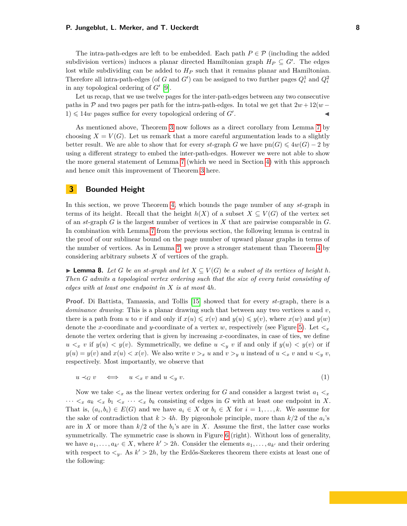The intra-path-edges are left to be embedded. Each path  $P \in \mathcal{P}$  (including the added subdivision vertices) induces a planar directed Hamiltonian graph  $H_P \subseteq G'$ . The edges lost while subdividing can be added to *H<sup>P</sup>* such that it remains planar and Hamiltonian. Therefore all intra-path-edges (of *G* and *G'*) can be assigned to two further pages  $Q_i^1$  and  $Q_i^2$ in any topological ordering of  $G'$  [\[9\]](#page-18-0).

Let us recap, that we use twelve pages for the inter-path-edges between any two consecutive paths in P and two pages per path for the intra-path-edges. In total we get that  $2w + 12(w 1) \leq 14w$  pages suffice for every topological ordering of *G'*. . **Julian Communication** 

As mentioned above, Theorem [3](#page-3-4) now follows as a direct corollary from Lemma [7](#page-4-0) by choosing  $X = V(G)$ . Let us remark that a more careful argumentation leads to a slightly better result. We are able to show that for every *st*-graph *G* we have  $pn(G) \leq 4w(G) - 2$  by using a different strategy to embed the inter-path-edges. However we were not able to show the more general statement of Lemma [7](#page-4-0) (which we need in Section [4\)](#page-9-0) with this approach and hence omit this improvement of Theorem [3](#page-3-4) here.

# <span id="page-7-0"></span>**3 Bounded Height**

In this section, we prove Theorem [4,](#page-3-5) which bounds the page number of any *st*-graph in terms of its height. Recall that the height  $h(X)$  of a subset  $X \subseteq V(G)$  of the vertex set of an *st*-graph *G* is the largest number of vertices in *X* that are pairwise comparable in *G*. In combination with Lemma [7](#page-4-0) from the previous section, the following lemma is central in the proof of our sublinear bound on the page number of upward planar graphs in terms of the number of vertices. As in Lemma [7,](#page-4-0) we prove a stronger statement than Theorem [4](#page-3-5) by considering arbitrary subsets *X* of vertices of the graph.

<span id="page-7-1"></span>► **Lemma 8.** *Let G be an st-graph and let*  $X \subseteq V(G)$  *be a subset of its vertices of height h*. *Then G admits a topological vertex ordering such that the size of every twist consisting of edges with at least one endpoint in X is at most* 4*h.*

**Proof.** Di Battista, Tamassia, and Tollis [\[15\]](#page-18-16) showed that for every *st*-graph, there is a *dominance drawing*: This is a planar drawing such that between any two vertices *u* and *v*, there is a path from *u* to *v* if and only if  $x(u) \leq x(v)$  and  $y(u) \leq y(v)$ , where  $x(w)$  and  $y(w)$ denote the *x*-coordinate and *y*-coordinate of a vertex *w*, respectively (see Figure [5\)](#page-8-0). Let  $\lt_x$ denote the vertex ordering that is given by increasing *x*-coordinates, in case of ties, we define  $u <sub>x</sub> v$  if  $y(u) < y(v)$ . Symmetrically, we define  $u <sub>y</sub> v$  if and only if  $y(u) < y(v)$  or if  $y(u) = y(v)$  and  $x(u) < x(v)$ . We also write  $v >_x u$  and  $v >_y u$  instead of  $u <_x v$  and  $u <_y v$ , respectively. Most importantly, we observe that

<span id="page-7-2"></span>
$$
u \prec_G v \iff u \prec_x v \text{ and } u \prec_y v. \tag{1}
$$

Now we take  $\lt_x$  as the linear vertex ordering for G and consider a largest twist  $a_1 \lt_x$  $\cdots \leq_{x} a_{k} \leq_{x} b_{1} \leq_{x} \cdots \leq_{x} b_{k}$  consisting of edges in *G* with at least one endpoint in *X*. That is,  $(a_i, b_i) \in E(G)$  and we have  $a_i \in X$  or  $b_i \in X$  for  $i = 1, \ldots, k$ . We assume for the sake of contradiction that  $k > 4h$ . By pigeonhole principle, more than  $k/2$  of the  $a_i$ 's are in *X* or more than  $k/2$  of the  $b_i$ 's are in *X*. Assume the first, the latter case works symmetrically. The symmetric case is shown in Figure [6](#page-8-1) (right). Without loss of generality, we have  $a_1, \ldots, a_{k'} \in X$ , where  $k' > 2h$ . Consider the elements  $a_1, \ldots, a_{k'}$  and their ordering with respect to  $\lt_y$ . As  $k' > 2h$ , by the Erdős-Szekeres theorem there exists at least one of the following: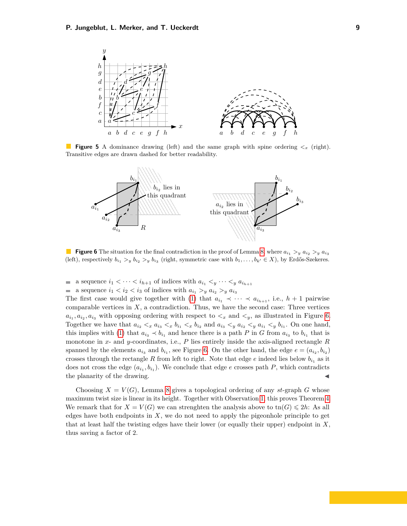<span id="page-8-0"></span>

**College Figure 5** A dominance drawing (left) and the same graph with spine ordering  $\lt_x$  (right). Transitive edges are drawn dashed for better readability.

<span id="page-8-1"></span>

**Figure 6** The situation for the final contradiction in the proof of Lemma [8,](#page-7-1) where  $a_{i_1} > y a_{i_2} > y a_{i_3}$ (left), respectively  $b_{i_1} > y$   $b_{i_2} > y$   $b_{i_3}$  (right, symmetric case with  $b_1, \ldots, b_{k'} \in X$ ), by Erdős-Szekeres.

- a sequence  $i_1 < \cdots < i_{h+1}$  of indices with  $a_{i_1} <sub>y</sub> \cdots <sub>y</sub> a_{i_{h+1}}$
- $\blacksquare$  a sequence  $i_1 < i_2 < i_3$  of indices with  $a_{i_1} >_y a_{i_2} >_y a_{i_3}$

The first case would give together with [\(1\)](#page-7-2) that  $a_{i_1} \prec \cdots \prec a_{i_{h+1}}$ , i.e.,  $h+1$  pairwise comparable vertices in *X*, a contradiction. Thus, we have the second case: Three vertices  $a_{i_1}, a_{i_2}, a_{i_3}$  with opposing ordering with respect to  $\lt_x$  and  $\lt_y$ , as illustrated in Figure [6.](#page-8-1) Together we have that  $a_{i_2} <_{x} a_{i_3} <_{x} b_{i_1} <_{x} b_{i_2}$  and  $a_{i_3} <_{y} a_{i_2} <_{y} a_{i_1} <_{y} b_{i_1}$ . On one hand, this implies with [\(1\)](#page-7-2) that  $a_{i_3} \prec b_{i_1}$  and hence there is a path *P* in *G* from  $a_{i_3}$  to  $b_{i_1}$  that is monotone in *x*- and *y*-coordinates, i.e., *P* lies entirely inside the axis-aligned rectangle *R* spanned by the elements  $a_{i_3}$  and  $b_{i_1}$ , see Figure [6.](#page-8-1) On the other hand, the edge  $e = (a_{i_2}, b_{i_2})$ crosses through the rectangle *R* from left to right. Note that edge *e* indeed lies below  $b_{i_1}$  as it does not cross the edge  $(a_{i_1}, b_{i_1})$ . We conclude that edge *e* crosses path *P*, which contradicts the planarity of the drawing.

Choosing  $X = V(G)$ , Lemma [8](#page-7-1) gives a topological ordering of any *st*-graph G whose maximum twist size is linear in its height. Together with Observation [1,](#page-3-1) this proves Theorem [4.](#page-3-5) We remark that for  $X = V(G)$  we can strenghten the analysis above to tn $(G) \le 2h$ : As all edges have both endpoints in *X*, we do not need to apply the pigeonhole principle to get that at least half the twisting edges have their lower (or equally their upper) endpoint in *X*, thus saving a factor of 2.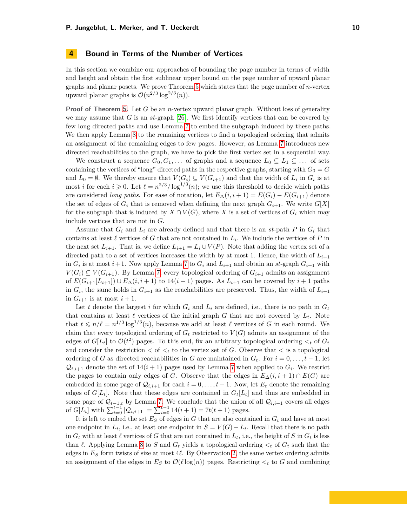### <span id="page-9-0"></span>**4 Bound in Terms of the Number of Vertices**

In this section we combine our approaches of bounding the page number in terms of width and height and obtain the first sublinear upper bound on the page number of upward planar graphs and planar posets. We prove Theorem [5](#page-3-6) which states that the page number of *n*-vertex upward planar graphs is  $\mathcal{O}(n^{2/3} \log^{2/3}(n)).$ 

**Proof of Theorem [5.](#page-3-6)** Let *G* be an *n*-vertex upward planar graph. Without loss of generality we may assume that *G* is an *st*-graph [\[26\]](#page-19-12). We first identify vertices that can be covered by few long directed paths and use Lemma [7](#page-4-0) to embed the subgraph induced by these paths. We then apply Lemma [8](#page-7-1) to the remaining vertices to find a topological ordering that admits an assignment of the remaining edges to few pages. However, as Lemma [7](#page-4-0) introduces new directed reachabilities to the graph, we have to pick the first vertex set in a sequential way.

We construct a sequence  $G_0, G_1, \ldots$  of graphs and a sequence  $L_0 \subseteq L_1 \subseteq \ldots$  of sets containing the vertices of "long" directed paths in the respective graphs, starting with  $G_0 = G$ and  $L_0 = \emptyset$ . We thereby ensure that  $V(G_i) \subseteq V(G_{i+1})$  and that the width of  $L_i$  in  $G_i$  is at most *i* for each  $i \geq 0$ . Let  $\ell = n^{2/3} / \log^{1/3}(n)$ ; we use this threshold to decide which paths are considered *long paths*. For ease of notation, let  $E_{\Delta}(i, i + 1) = E(G_i) - E(G_{i+1})$  denote the set of edges of  $G_i$  that is removed when defining the next graph  $G_{i+1}$ . We write  $G[X]$ for the subgraph that is induced by  $X \cap V(G)$ , where X is a set of vertices of  $G_i$  which may include vertices that are not in *G*.

Assume that  $G_i$  and  $L_i$  are already defined and that there is an *st*-path  $P$  in  $G_i$  that contains at least  $\ell$  vertices of *G* that are not contained in  $L_i$ . We include the vertices of *P* in the next set  $L_{i+1}$ . That is, we define  $L_{i+1} = L_i \cup V(P)$ . Note that adding the vertex set of a directed path to a set of vertices increases the width by at most 1. Hence, the width of  $L_{i+1}$ in  $G_i$  is at most  $i+1$ . Now apply Lemma [7](#page-4-0) to  $G_i$  and  $L_{i+1}$  and obtain an  $st$ -graph  $G_{i+1}$  with *V*(*G*<sup>*i*</sup>) ⊆ *V*(*G*<sub>*i*+1</sub>). By Lemma [7,](#page-4-0) every topological ordering of  $G$ <sup>*i*+1</sup> admits an assignment of  $E(G_{i+1}[L_{i+1}]) \cup E_{\Delta}(i, i+1)$  to  $14(i+1)$  pages. As  $L_{i+1}$  can be covered by  $i+1$  paths in  $G_i$ , the same holds in  $G_{i+1}$  as the reachabilities are preserved. Thus, the width of  $L_{i+1}$ in  $G_{i+1}$  is at most  $i+1$ .

Let *t* denote the largest *i* for which  $G_i$  and  $L_i$  are defined, i.e., there is no path in  $G_t$ that contains at least  $\ell$  vertices of the initial graph *G* that are not covered by  $L_t$ . Note that  $t \le n/\ell = n^{1/3} \log^{1/3}(n)$ , because we add at least  $\ell$  vertices of *G* in each round. We claim that every topological ordering of  $G_t$  restricted to  $V(G)$  admits an assignment of the edges of  $G[L_t]$  to  $\mathcal{O}(t^2)$  pages. To this end, fix an arbitrary topological ordering  $\lt_t$  of  $G_t$ and consider the restriction  $\lt$  of  $\lt_t$  to the vertex set of *G*. Observe that  $\lt$  is a topological ordering of *G* as directed reachabilities in *G* are maintained in  $G_t$ . For  $i = 0, \ldots, t-1$ , let  $\mathcal{Q}_{i,i+1}$  denote the set of  $14(i+1)$  pages used by Lemma [7](#page-4-0) when applied to  $G_i$ . We restrict the pages to contain only edges of *G*. Observe that the edges in  $E_{\Delta}(i, i + 1) \cap E(G)$  are embedded in some page of  $\mathcal{Q}_{i,i+1}$  for each  $i = 0, \ldots, t-1$ . Now, let  $E_t$  denote the remaining edges of  $G[L_t]$ . Note that these edges are contained in  $G_t[L_t]$  and thus are embedded in some page of  $\mathcal{Q}_{t-1,t}$  by Lemma [7.](#page-4-0) We conclude that the union of all  $\mathcal{Q}_{i,i+1}$  covers all edges of  $G[L_t]$  with  $\sum_{i=0}^{t-1} |Q_{i,i+1}| = \sum_{i=0}^{t-1} 14(i+1) = 7t(t+1)$  pages.

It is left to embed the set *E<sup>S</sup>* of edges in *G* that are also contained in *G<sup>t</sup>* and have at most one endpoint in  $L_t$ , i.e., at least one endpoint in  $S = V(G) - L_t$ . Recall that there is no path in  $G_t$  with at least  $\ell$  vertices of  $G$  that are not contained in  $L_t$ , i.e., the height of  $S$  in  $G_t$  is less than  $\ell$ . Applying Lemma [8](#page-7-1) to *S* and  $G_t$  yields a topological ordering  $\lt_t$  of  $G_t$  such that the edges in  $E<sub>S</sub>$  form twists of size at most  $4\ell$ . By Observation [2,](#page-3-2) the same vertex ordering admits an assignment of the edges in  $E_S$  to  $\mathcal{O}(\ell \log(n))$  pages. Restricting  $\lt_t$  to G and combining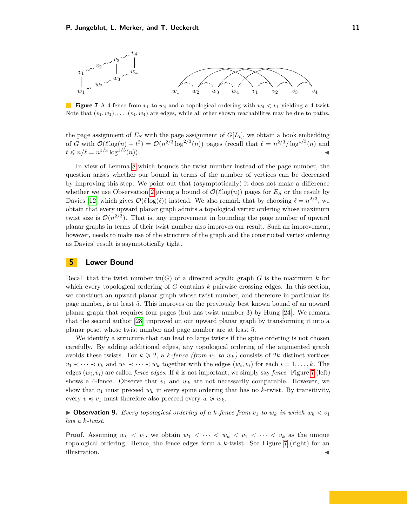<span id="page-10-0"></span>

 $\mathcal{L}_{\mathcal{A}}$ **Figure 7** A 4-fence from  $v_1$  to  $w_4$  and a topological ordering with  $w_4 < v_1$  yielding a 4-twist. Note that  $(v_1, w_1), \ldots, (v_4, w_4)$  are edges, while all other shown reachabilites may be due to paths.

the page assignment of  $E<sub>S</sub>$  with the page assignment of  $G[L<sub>t</sub>]$ , we obtain a book embedding of *G* with  $\mathcal{O}(\ell \log(n) + t^2) = \mathcal{O}(n^{2/3} \log^{2/3}(n))$  pages (recall that  $\ell = n^{2/3} / \log^{1/3}(n)$  and  $t \leqslant n/\ell = n^{1/3} \log^{1/3}$  $(n).$ 

In view of Lemma [8](#page-7-1) which bounds the twist number instead of the page number, the question arises whether our bound in terms of the number of vertices can be decreased by improving this step. We point out that (asymptotically) it does not make a difference whether we use Observation [2](#page-3-2) giving a bound of  $\mathcal{O}(\ell \log(n))$  pages for  $E_S$  or the result by Davies [\[12\]](#page-18-14) which gives  $\mathcal{O}(\ell \log(\ell))$  instead. We also remark that by choosing  $\ell = n^{2/3}$ , we obtain that every upward planar graph admits a topological vertex ordering whose maximum twist size is  $\mathcal{O}(n^{2/3})$ . That is, any improvement in bounding the page number of upward planar graphs in terms of their twist number also improves our result. Such an improvement, however, needs to make use of the structure of the graph and the constructed vertex ordering as Davies' result is asymptotically tight.

## **5 Lower Bound**

Recall that the twist number  $\text{tn}(G)$  of a directed acyclic graph G is the maximum k for which every topological ordering of *G* contains *k* pairwise crossing edges. In this section, we construct an upward planar graph whose twist number, and therefore in particular its page number, is at least 5. This improves on the previously best known bound of an upward planar graph that requires four pages (but has twist number 3) by Hung [\[24\]](#page-19-7). We remark that the second author [\[28\]](#page-19-14) improved on our upward planar graph by transforming it into a planar poset whose twist number and page number are at least 5.

We identify a structure that can lead to large twists if the spine ordering is not chosen carefully. By adding additional edges, any topological ordering of the augmented graph avoids these twists. For  $k \geq 2$ , a *k-fence (from*  $v_1$  *to*  $w_k$ ) consists of 2*k* distinct vertices *v*<sub>1</sub> ≺ · · · ≺ *v<sub>k</sub>* and *w*<sub>1</sub> ≺ · · · ≺ *w<sub>k</sub>* together with the edges  $(w_i, v_i)$  for each  $i = 1, ..., k$ . The edges (*w<sup>i</sup> , vi*) are called *fence edges*. If *k* is not important, we simply say *fence*. Figure [7](#page-10-0) (left) shows a 4-fence. Observe that  $v_1$  and  $w_k$  are not necessarily comparable. However, we show that  $v_1$  must preceed  $w_k$  in every spine ordering that has no  $k$ -twist. By transitivity, every  $v \preccurlyeq v_1$  must therefore also preceed every  $w \succcurlyeq w_k$ .

<span id="page-10-1"></span> $\triangleright$  **Observation 9.** Every topological ordering of a *k*-fence from  $v_1$  to  $w_k$  in which  $w_k < v_1$ *has a k-twist.*

**Proof.** Assuming  $w_k < v_1$ , we obtain  $w_1 < \cdots < w_k < v_1 < \cdots < v_k$  as the unique topological ordering. Hence, the fence edges form a *k*-twist. See Figure [7](#page-10-0) (right) for an  $\blacksquare$ illustration.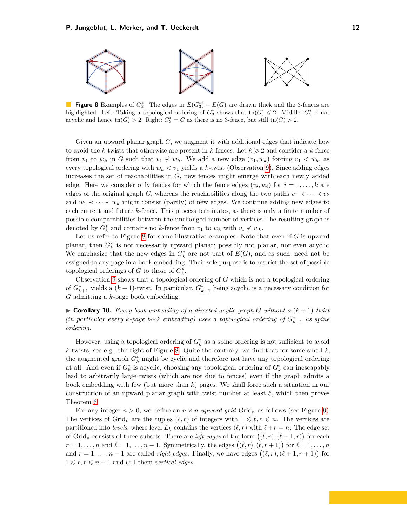<span id="page-11-0"></span>

**Figure 8** Examples of  $G_3^*$ . The edges in  $E(G_3^*) - E(G)$  are drawn thick and the 3-fences are highlighted. Left: Taking a topological ordering of  $G_3^*$  shows that  $\text{tn}(G) \leq 2$ . Middle:  $G_3^*$  is not acyclic and hence  $\text{tn}(G) > 2$ . Right:  $G_3^* = G$  as there is no 3-fence, but still  $\text{tn}(G) > 2$ .

Given an upward planar graph *G*, we augment it with additional edges that indicate how to avoid the *k*-twists that otherwise are present in *k*-fences. Let  $k \geq 2$  and consider a *k*-fence from  $v_1$  to  $w_k$  in *G* such that  $v_1 \nless w_k$ . We add a new edge  $(v_1, w_k)$  forcing  $v_1 < w_k$ , as every topological ordering with  $w_k < v_1$  yields a *k*-twist (Observation [9\)](#page-10-1). Since adding edges increases the set of reachabilities in *G*, new fences might emerge with each newly added edge. Here we consider only fences for which the fence edges  $(v_i, w_i)$  for  $i = 1, \ldots, k$  are edges of the original graph *G*, whereas the reachabilities along the two paths  $v_1 \prec \cdots \prec v_k$ and  $w_1 \prec \cdots \prec w_k$  might consist (partly) of new edges. We continue adding new edges to each current and future *k*-fence. This process terminates, as there is only a finite number of possible comparabilities between the unchanged number of vertices The resulting graph is denoted by  $G_k^*$  and contains no *k*-fence from  $v_1$  to  $w_k$  with  $v_1 \nless w_k$ .

Let us refer to Figure [8](#page-11-0) for some illustrative examples. Note that even if *G* is upward planar, then  $G_k^*$  is not necessarily upward planar; possibly not planar, nor even acyclic. We emphasize that the new edges in  $G_k^*$  are not part of  $E(G)$ , and as such, need not be assigned to any page in a book embedding. Their sole purpose is to restrict the set of possible topological orderings of *G* to those of  $G_k^*$ .

Observation [9](#page-10-1) shows that a topological ordering of *G* which is not a topological ordering of  $G_{k+1}^*$  yields a  $(k+1)$ -twist. In particular,  $G_{k+1}^*$  being acyclic is a necessary condition for *G* admitting a *k*-page book embedding.

<span id="page-11-1"></span> $\triangleright$  **Corollary 10.** Every book embedding of a directed acylic graph *G* without a  $(k+1)$ -twist *(in particular every k-page book embedding) uses a topological ordering of*  $G_{k+1}^*$  *as spine ordering.*

However, using a topological ordering of  $G_k^*$  as a spine ordering is not sufficient to avoid  $k$ -twists; see e.g., the right of Figure [8.](#page-11-0) Quite the contrary, we find that for some small  $k$ , the augmented graph  $G_k^*$  might be cyclic and therefore not have any topological ordering at all. And even if  $G_k^*$  is acyclic, choosing any topological ordering of  $G_k^*$  can inescapably lead to arbitrarily large twists (which are not due to fences) even if the graph admits a book embedding with few (but more than *k*) pages. We shall force such a situation in our construction of an upward planar graph with twist number at least 5, which then proves Theorem [6.](#page-3-7)

For any integer  $n > 0$ , we define an  $n \times n$  *upward grid* Grid<sub>n</sub> as follows (see Figure [9\)](#page-12-0). The vertices of Grid<sub>n</sub> are the tuples  $(\ell, r)$  of integers with  $1 \leq \ell, r \leq n$ . The vertices are partitioned into *levels*, where level  $L_h$  contains the vertices  $(\ell, r)$  with  $\ell + r = h$ . The edge set of Grid<sub>n</sub> consists of three subsets. There are *left edges* of the form  $((\ell, r), (\ell + 1, r))$  for each  $r = 1, \ldots, n$  and  $\ell = 1, \ldots, n - 1$ . Symmetrically, the edges  $((\ell, r), (\ell, r + 1))$  for  $\ell = 1, \ldots, n$ and  $r = 1, \ldots, n - 1$  are called *right edges*. Finally, we have edges  $((\ell, r), (\ell + 1, r + 1))$  for  $1 \leq \ell, r \leq n-1$  and call them *vertical edges*.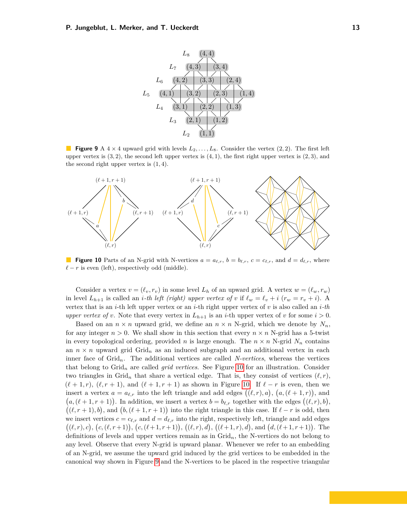<span id="page-12-0"></span>

**Figure 9** A  $4 \times 4$  upward grid with levels  $L_2, \ldots, L_8$ . Consider the vertex  $(2, 2)$ . The first left upper vertex is (3*,* 2), the second left upper vertex is (4*,* 1), the first right upper vertex is (2*,* 3), and the second right upper vertex is (1*,* 4).

<span id="page-12-1"></span>

**Figure 10** Parts of an N-grid with N-vertices  $a = a_{\ell,r}$ ,  $b = b_{\ell,r}$ ,  $c = c_{\ell,r}$ , and  $d = d_{\ell,r}$ , where  $\ell - r$  is even (left), respectively odd (middle).

Consider a vertex  $v = (\ell_v, r_v)$  in some level  $L_h$  of an upward grid. A vertex  $w = (\ell_w, r_w)$ in level  $L_{h+1}$  is called an *i*-th left (right) upper vertex of v if  $\ell_w = \ell_v + i$  ( $r_w = r_v + i$ ). A vertex that is an *i*-th left upper vertex or an *i*-th right upper vertex of *v* is also called an *i-th upper vertex of v*. Note that every vertex in  $L_{h+1}$  is an *i*-th upper vertex of *v* for some  $i > 0$ .

Based on an  $n \times n$  upward grid, we define an  $n \times n$  N-grid, which we denote by  $N_n$ , for any integer  $n > 0$ . We shall show in this section that every  $n \times n$  N-grid has a 5-twist in every topological ordering, provided *n* is large enough. The  $n \times n$  N-grid  $N_n$  contains an  $n \times n$  upward grid Grid<sub>n</sub> as an induced subgraph and an additional vertex in each inner face of Grid*n*. The additional vertices are called *N-vertices*, whereas the vertices that belong to Grid*<sup>n</sup>* are called *grid vertices*. See Figure [10](#page-12-1) for an illustration. Consider two triangles in Grid<sub>n</sub> that share a vertical edge. That is, they consist of vertices  $(\ell, r)$ ,  $(\ell + 1, r)$ ,  $(\ell, r + 1)$ , and  $(\ell + 1, r + 1)$  as shown in Figure [10.](#page-12-1) If  $\ell - r$  is even, then we insert a vertex  $a = a_{\ell,r}$  into the left triangle and add edges  $((\ell, r), a)$ ,  $(a, (\ell + 1, r))$ , and  $(a, (\ell + 1, r + 1))$ . In addition, we insert a vertex  $b = b_{\ell,r}$  together with the edges  $((\ell, r), b)$ ,  $((\ell, r + 1), b)$ , and  $(b, (\ell + 1, r + 1))$  into the right triangle in this case. If  $\ell - r$  is odd, then we insert vertices  $c = c_{\ell,r}$  and  $d = d_{\ell,r}$  into the right, respectively left, triangle and add edges  $((\ell, r), c), (c, (\ell, r+1)), (c, (\ell+1, r+1)), ((\ell, r), d), ((\ell+1, r), d),$  and  $(d, (\ell+1, r+1))$ . The definitions of levels and upper vertices remain as in Grid*n*, the N-vertices do not belong to any level. Observe that every N-grid is upward planar. Whenever we refer to an embedding of an N-grid, we assume the upward grid induced by the grid vertices to be embedded in the canonical way shown in Figure [9](#page-12-0) and the N-vertices to be placed in the respective triangular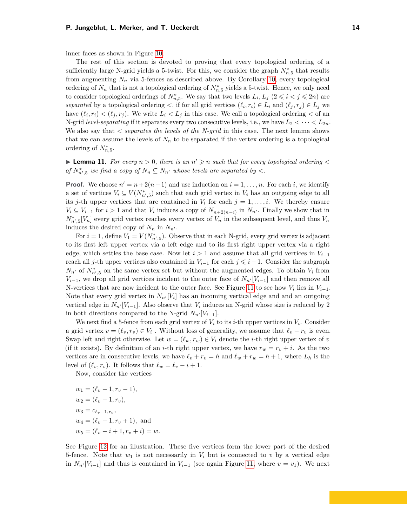inner faces as shown in Figure [10.](#page-12-1)

The rest of this section is devoted to proving that every topological ordering of a sufficiently large N-grid yields a 5-twist. For this, we consider the graph  $N_{n,5}^*$  that results from augmenting  $N_n$  via 5-fences as described above. By Corollary [10,](#page-11-1) every topological ordering of  $N_n$  that is not a topological ordering of  $N_{n,5}^*$  yields a 5-twist. Hence, we only need to consider topological orderings of  $N_{n,5}^*$ . We say that two levels  $L_i, L_j \ (2 \leq i \leq j \leq 2n)$  are *separated* by a topological ordering  $\lt$ , if for all grid vertices  $(\ell_i, r_i) \in L_i$  and  $(\ell_j, r_j) \in L_j$  we have  $(\ell_i, r_i) < (\ell_j, r_j)$ . We write  $L_i < L_j$  in this case. We call a topological ordering  $<$  of an N-grid *level-separating* if it separates every two consecutive levels, i.e., we have  $L_2 < \cdots < L_{2n}$ . We also say that *< separates the levels of the N-grid* in this case. The next lemma shows that we can assume the levels of  $N_n$  to be separated if the vertex ordering is a topological ordering of  $N_{n,5}^*$ .

<span id="page-13-0"></span>**Example 11.** For every  $n > 0$ , there is an  $n' \geq n$  such that for every topological ordering  $\lt$ *of*  $N_{n',5}^*$  *we find a copy of*  $N_n \subseteq N_{n'}$  *whose levels are separated by* <

**Proof.** We choose  $n' = n + 2(n-1)$  and use induction on  $i = 1, ..., n$ . For each *i*, we identify a set of vertices  $V_i \subseteq V(N^*_{n',5})$  such that each grid vertex in  $V_i$  has an outgoing edge to all its *j*-th upper vertices that are contained in  $V_i$  for each  $j = 1, \ldots, i$ . We thereby ensure  $V_i \subseteq V_{i-1}$  for  $i > 1$  and that  $V_i$  induces a copy of  $N_{n+2(n-i)}$  in  $N_{n'}$ . Finally we show that in  $N_{n',5}^*[V_n]$  every grid vertex reaches every vertex of  $V_n$  in the subsequent level, and thus  $V_n$ induces the desired copy of  $N_n$  in  $N_{n'}$ .

For  $i = 1$ , define  $V_1 = V(N^*_{n',5})$ . Observe that in each N-grid, every grid vertex is adjacent to its first left upper vertex via a left edge and to its first right upper vertex via a right edge, which settles the base case. Now let  $i > 1$  and assume that all grid vertices in  $V_{i-1}$ reach all *j*-th upper vertices also contained in  $V_{i-1}$  for each  $j \leq i-1$ . Consider the subgraph  $N_{n'}$  of  $N_{n',5}^*$  on the same vertex set but without the augmented edges. To obtain  $V_i$  from  $V_{i-1}$ , we drop all grid vertices incident to the outer face of  $N_{n}$ <sup>*[V<sub>i−1</sub>]* and then remove all</sup> N-vertices that are now incident to the outer face. See Figure [11](#page-14-0) to see how  $V_i$  lies in  $V_{i-1}$ . Note that every grid vertex in  $N_{n'}[V_i]$  has an incoming vertical edge and and an outgoing vertical edge in  $N_{n'}[V_{i-1}]$ . Also observe that  $V_i$  induces an N-grid whose size is reduced by 2 in both directions compared to the N-grid  $N_{n'}[V_{i-1}]$ .

We next find a 5-fence from each grid vertex of  $V_i$  to its *i*-th upper vertices in  $V_i$ . Consider a grid vertex  $v = (\ell_v, r_v) \in V_i$ . Without loss of generality, we assume that  $\ell_v - r_v$  is even. Swap left and right otherwise. Let  $w = (\ell_w, r_w) \in V_i$  denote the *i*-th right upper vertex of *v* (if it exists). By definition of an *i*-th right upper vertex, we have  $r_w = r_v + i$ . As the two vertices are in consecutive levels, we have  $\ell_v + r_v = h$  and  $\ell_w + r_w = h + 1$ , where  $L_h$  is the level of  $(\ell_v, r_v)$ . It follows that  $\ell_w = \ell_v - i + 1$ .

Now, consider the vertices

$$
w_1 = (\ell_v - 1, r_v - 1),
$$
  
\n
$$
w_2 = (\ell_v - 1, r_v),
$$
  
\n
$$
w_3 = c_{\ell_v - 1, r_v},
$$
  
\n
$$
w_4 = (\ell_v - 1, r_v + 1),
$$
 and  
\n
$$
w_5 = (\ell_v - i + 1, r_v + i) = w.
$$

See Figure [12](#page-14-1) for an illustration. These five vertices form the lower part of the desired 5-fence. Note that  $w_1$  is not necessarily in  $V_i$  but is connected to v by a vertical edge in  $N_{n'}[V_{i-1}]$  and thus is contained in  $V_{i-1}$  (see again Figure [11,](#page-14-0) where  $v = v_1$ ). We next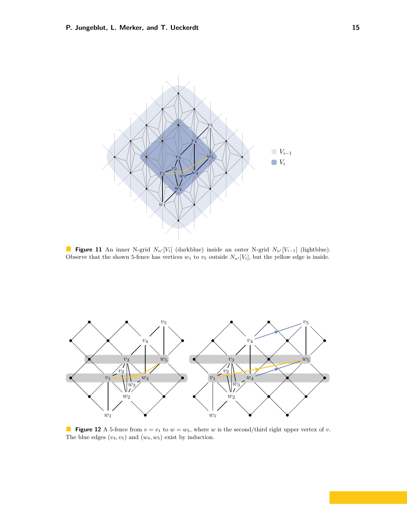<span id="page-14-0"></span>

**Figure 11** An inner N-grid  $N_{n'}[V_i]$  (darkblue) inside an outer N-grid  $N_{n'}[V_{i-1}]$  (lightblue). Observe that the shown 5-fence has vertices  $w_1$  to  $v_5$  outside  $N_{n'}[V_i]$ , but the yellow edge is inside.

<span id="page-14-1"></span>

**Figure 12** A 5-fence from  $v = v_1$  to  $w = w_5$ , where *w* is the second/third right upper vertex of *v*. The blue edges  $(v_4, v_5)$  and  $(w_4, w_5)$  exist by induction.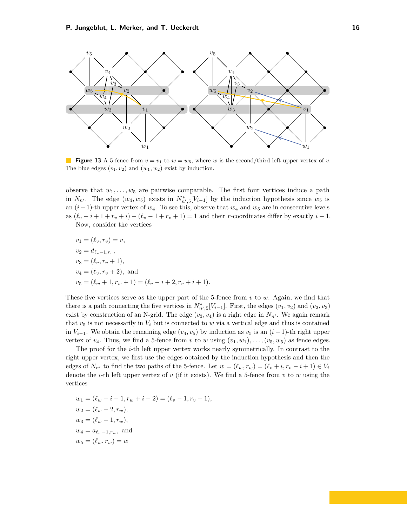<span id="page-15-0"></span>

**Figure 13** A 5-fence from  $v = v_1$  to  $w = w_5$ , where *w* is the second/third left upper vertex of *v*. The blue edges  $(v_1, v_2)$  and  $(w_1, w_2)$  exist by induction.

observe that  $w_1, \ldots, w_5$  are pairwise comparable. The first four vertices induce a path in  $N_{n'}$ . The edge  $(w_4, w_5)$  exists in  $N_{n',5}^*[V_{i-1}]$  by the induction hypothesis since  $w_5$  is an  $(i-1)$ -th upper vertex of  $w_4$ . To see this, observe that  $w_4$  and  $w_5$  are in consecutive levels as  $(\ell_v - i + 1 + r_v + i) - (\ell_v - 1 + r_v + 1) = 1$  and their *r*-coordinates differ by exactly  $i - 1$ . Now, consider the vertices

$$
v_1 = (\ell_v, r_v) = v,
$$
  
\n
$$
v_2 = d_{\ell_v - 1, r_v},
$$
  
\n
$$
v_3 = (\ell_v, r_v + 1),
$$
  
\n
$$
v_4 = (\ell_v, r_v + 2),
$$
 and  
\n
$$
v_5 = (\ell_w + 1, r_w + 1) = (\ell_v - i + 2, r_v + i + 1).
$$

These five vertices serve as the upper part of the 5-fence from *v* to *w*. Again, we find that there is a path connecting the five vertices in  $N^*_{n',5}[V_{i-1}]$ . First, the edges  $(v_1, v_2)$  and  $(v_2, v_3)$ exist by construction of an N-grid. The edge  $(v_3, v_4)$  is a right edge in  $N_{n'}$ . We again remark that  $v_5$  is not necessarily in  $V_i$  but is connected to  $w$  via a vertical edge and thus is contained in *V*<sub>*i*−1</sub>. We obtain the remaining edge (*v*<sub>4</sub>*, v*<sub>5</sub>) by induction as *v*<sub>5</sub> is an (*i* − 1)-th right upper vertex of  $v_4$ . Thus, we find a 5-fence from *v* to *w* using  $(v_1, w_1), \ldots, (v_5, w_5)$  as fence edges.

The proof for the *i*-th left upper vertex works nearly symmetrically. In contrast to the right upper vertex, we first use the edges obtained by the induction hypothesis and then the edges of  $N_{n'}$  to find the two paths of the 5-fence. Let  $w = (\ell_w, r_w) = (\ell_v + i, r_v - i + 1) \in V_i$ denote the *i*-th left upper vertex of *v* (if it exists). We find a 5-fence from *v* to *w* using the vertices

$$
w_1 = (\ell_w - i - 1, r_w + i - 2) = (\ell_v - 1, r_v - 1),
$$
  
\n
$$
w_2 = (\ell_w - 2, r_w),
$$
  
\n
$$
w_3 = (\ell_w - 1, r_w),
$$
  
\n
$$
w_4 = a_{\ell_w - 1, r_w},
$$
 and  
\n
$$
w_5 = (\ell_w, r_w) = w
$$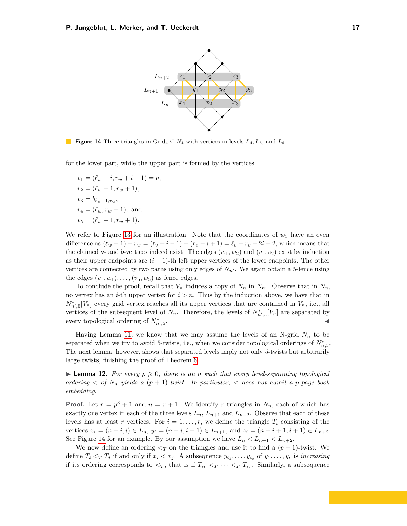<span id="page-16-0"></span>

**Figure 14** Three triangles in Grid<sub>4</sub>  $\subseteq$  *N*<sub>4</sub> with vertices in levels *L*<sub>4</sub>*, L*<sub>5</sub>*,* and *L*<sub>6</sub>*.* 

for the lower part, while the upper part is formed by the vertices

 $v_1 = (\ell_w - i, r_w + i - 1) = v$ ,  $v_2 = (\ell_w - 1, r_w + 1),$  $v_3 = b_{\ell_{w}-1,r_w}$  $v_4 = (\ell_w, r_w + 1)$ , and  $v_5 = (\ell_w + 1, r_w + 1).$ 

We refer to Figure [13](#page-15-0) for an illustration. Note that the coordinates of  $w_3$  have an even difference as  $(\ell_w - 1) - r_w = (\ell_v + i - 1) - (r_v - i + 1) = \ell_v - r_v + 2i - 2$ , which means that the claimed *a*- and *b*-vertices indeed exist. The edges  $(w_1, w_2)$  and  $(v_1, v_2)$  exist by induction as their upper endpoints are  $(i - 1)$ -th left upper vertices of the lower endpoints. The other vertices are connected by two paths using only edges of  $N_n$ . We again obtain a 5-fence using the edges  $(v_1, w_1), \ldots, (v_5, w_5)$  as fence edges.

To conclude the proof, recall that  $V_n$  induces a copy of  $N_n$  in  $N_{n'}$ . Observe that in  $N_n$ , no vertex has an *i*-th upper vertex for  $i > n$ . Thus by the induction above, we have that in  $N_{n',5}^*[V_n]$  every grid vertex reaches all its upper vertices that are contained in  $V_n$ , i.e., all vertices of the subsequent level of  $N_n$ . Therefore, the levels of  $N_{n',5}^*[V_n]$  are separated by every topological ordering of  $N_{n',5}^*$ . January 1980, January 1980, January 1980, January 1980, January 1980, January 1980, January 1980, January 19<br>January 1980, January 1980, January 1980, January 1980, January 1980, January 1980, January 1980, January 1980

Having Lemma [11,](#page-13-0) we know that we may assume the levels of an N-grid  $N_n$  to be separated when we try to avoid 5-twists, i.e., when we consider topological orderings of  $N_{n,5}^*$ . The next lemma, however, shows that separated levels imply not only 5-twists but arbitrarily large twists, finishing the proof of Theorem [6.](#page-3-7)

<span id="page-16-1"></span>**I Lemma 12.** For every  $p \geq 0$ , there is an *n* such that every level-separating topological *ordering*  $\lt$  *of*  $N_n$  *yields* a  $(p+1)$ *-twist. In particular,*  $\lt$  *does not admit a p-page book embedding.*

**Proof.** Let  $r = p^3 + 1$  and  $n = r + 1$ . We identify *r* triangles in  $N_n$ , each of which has exactly one vertex in each of the three levels  $L_n$ ,  $L_{n+1}$  and  $L_{n+2}$ . Observe that each of these levels has at least *r* vertices. For  $i = 1, \ldots, r$ , we define the triangle  $T_i$  consisting of the vertices  $x_i = (n - i, i) \in L_n$ ,  $y_i = (n - i, i + 1) \in L_{n+1}$ , and  $z_i = (n - i + 1, i + 1) \in L_{n+2}$ . See Figure [14](#page-16-0) for an example. By our assumption we have  $L_n < L_{n+1} < L_{n+2}$ .

We now define an ordering  $\leq_T$  on the triangles and use it to find a  $(p+1)$ -twist. We define  $T_i \leq_T T_j$  if and only if  $x_i \leq x_j$ . A subsequence  $y_{i_1}, \ldots, y_{i_s}$  of  $y_1, \ldots, y_r$  is *increasing* if its ordering corresponds to  $\lt_T$ , that is if  $T_{i_1} \lt_T \cdots \lt_T T_{i_s}$ . Similarly, a subsequence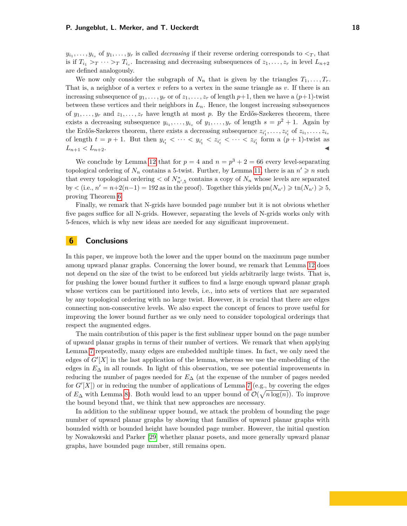$y_{i_1}, \ldots, y_{i_s}$  of  $y_1, \ldots, y_r$  is called *decreasing* if their reverse ordering corresponds to  $\lt_T$ , that is if  $T_{i_1} > T \cdots > T_{i_s}$ . Increasing and decreasing subsequences of  $z_1, \ldots, z_r$  in level  $L_{n+2}$ are defined analogously.

We now only consider the subgraph of  $N_n$  that is given by the triangles  $T_1, \ldots, T_r$ . That is, a neighbor of a vertex *v* refers to a vertex in the same triangle as *v*. If there is an increasing subsequence of  $y_1, \ldots, y_r$  or of  $z_1, \ldots, z_r$  of length  $p+1$ , then we have a  $(p+1)$ -twist between these vertices and their neighbors in  $L_n$ . Hence, the longest increasing subsequences of  $y_1, \ldots, y_r$  and  $z_1, \ldots, z_r$  have length at most p. By the Erdős-Szekeres theorem, there exists a decreasing subsequence  $y_{i_1}, \ldots, y_{i_s}$  of  $y_1, \ldots, y_r$  of length  $s = p^2 + 1$ . Again by the Erdős-Szekeres theorem, there exists a decreasing subsequence  $z_{i'_1}, \ldots, z_{i'_t}$  of  $z_{i_1}, \ldots, z_{i_s}$ of length  $t = p + 1$ . But then  $y_{i'_t} < \cdots < y_{i'_1} < z_{i'_t} < \cdots < z_{i'_1}$  form a  $(p + 1)$ -twist as  $L_{n+1} < L_{n+2}$ .

We conclude by Lemma [12](#page-16-1) that for  $p = 4$  and  $n = p^3 + 2 = 66$  every level-separating topological ordering of  $N_n$  contains a 5-twist. Further, by Lemma [11,](#page-13-0) there is an  $n' \geq n$  such that every topological ordering  $\lt$  of  $N_{n',5}^*$  contains a copy of  $N_n$  whose levels are separated  $\text{by} < (\text{i.e., } n' = n + 2(n-1) = 192 \text{ as in the proof}).$  Together this yields  $\text{pn}(N_{n'}) \geqslant \text{tn}(N_{n'}) \geqslant 5$ , proving Theorem [6.](#page-3-7)

Finally, we remark that N-grids have bounded page number but it is not obvious whether five pages suffice for all N-grids. However, separating the levels of N-grids works only with 5-fences, which is why new ideas are needed for any significant improvement.

# **6 Conclusions**

In this paper, we improve both the lower and the upper bound on the maximum page number among upward planar graphs. Concerning the lower bound, we remark that Lemma [12](#page-16-1) does not depend on the size of the twist to be enforced but yields arbitrarily large twists. That is, for pushing the lower bound further it suffices to find a large enough upward planar graph whose vertices can be partitioned into levels, i.e., into sets of vertices that are separated by any topological ordering with no large twist. However, it is crucial that there are edges connecting non-consecutive levels. We also expect the concept of fences to prove useful for improving the lower bound further as we only need to consider topological orderings that respect the augmented edges.

The main contribution of this paper is the first sublinear upper bound on the page number of upward planar graphs in terms of their number of vertices. We remark that when applying Lemma [7](#page-4-0) repeatedly, many edges are embedded multiple times. In fact, we only need the edges of  $G'[X]$  in the last application of the lemma, whereas we use the embedding of the edges in *E*<sup>∆</sup> in all rounds. In light of this observation, we see potential improvements in reducing the number of pages needed for *E*<sup>∆</sup> (at the expense of the number of pages needed for  $G'[X]$  or in reducing the number of applications of Lemma [7](#page-4-0) (e.g., by covering the edges of  $E_{\Delta}$  with Lemma [8\)](#page-7-1). Both would lead to an upper bound of  $\mathcal{O}(\sqrt{n \log(n)})$ . To improve the bound beyond that, we think that new approaches are necessary.

In addition to the sublinear upper bound, we attack the problem of bounding the page number of upward planar graphs by showing that families of upward planar graphs with bounded width or bounded height have bounded page number. However, the initial question by Nowakowski and Parker [\[29\]](#page-19-5) whether planar posets, and more generally upward planar graphs, have bounded page number, still remains open.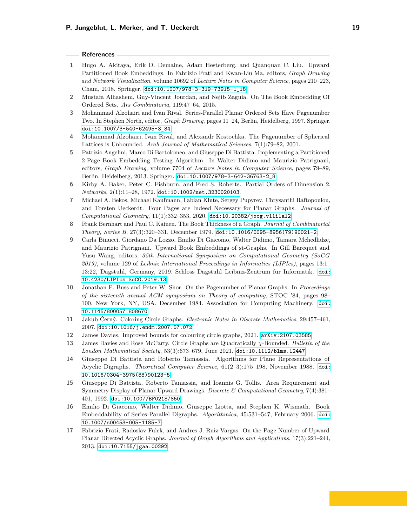#### **References**

- <span id="page-18-7"></span>**1** Hugo A. Akitaya, Erik D. Demaine, Adam Hesterberg, and Quanquan C. Liu. Upward Partitioned Book Embeddings. In Fabrizio Frati and Kwan-Liu Ma, editors, *Graph Drawing and Network Visualization*, volume 10692 of *Lecture Notes in Computer Science*, pages 210–223, Cham, 2018. Springer. [doi:10.1007/978-3-319-73915-1\\_18](https://doi.org/10.1007/978-3-319-73915-1_18).
- <span id="page-18-5"></span>**2** Mustafa Alhashem, Guy-Vincent Jourdan, and Nejib Zaguia. On The Book Embedding Of Ordered Sets. *Ars Combinatoria*, 119:47–64, 2015.
- <span id="page-18-10"></span>**3** Mohammad Alzohairi and Ivan Rival. Series-Parallel Planar Ordered Sets Have Pagenumber Two. In Stephen North, editor, *Graph Drawing*, pages 11–24, Berlin, Heidelberg, 1997. Springer. [doi:10.1007/3-540-62495-3\\_34](https://doi.org/10.1007/3-540-62495-3_34).
- <span id="page-18-6"></span>**4** Mohammad Alzohairi, Ivan Rival, and Alexandr Kostochka. The Pagenumber of Spherical Lattices is Unbounded. *Arab Journal of Mathematical Sciences*, 7(1):79–82, 2001.
- <span id="page-18-8"></span>**5** Patrizio Angelini, Marco Di Bartolomeo, and Giuseppe Di Battista. Implementing a Partitioned 2-Page Book Embedding Testing Algorithm. In Walter Didimo and Maurizio Patrignani, editors, *Graph Drawing*, volume 7704 of *Lecture Notes in Computer Science*, pages 79–89, Berlin, Heidelberg, 2013. Springer. [doi:10.1007/978-3-642-36763-2\\_8](https://doi.org/10.1007/978-3-642-36763-2_8).
- <span id="page-18-12"></span>**6** Kirby A. Baker, Peter C. Fishburn, and Fred S. Roberts. Partial Orders of Dimension 2. *Networks*, 2(1):11–28, 1972. [doi:10.1002/net.3230020103](https://doi.org/10.1002/net.3230020103).
- <span id="page-18-4"></span>**7** Michael A. Bekos, Michael Kaufmann, Fabian Klute, Sergey Pupyrev, Chrysanthi Raftopoulou, and Torsten Ueckerdt. Four Pages are Indeed Necessary for Planar Graphs. *Journal of Computational Geometry*, 11(1):332–353, 2020. [doi:10.20382/jocg.v11i1a12](https://doi.org/10.20382/jocg.v11i1a12).
- <span id="page-18-2"></span>**8** Frank Bernhart and Paul C. Kainen. The Book Thickness of a Graph. *Journal of Combinatorial Theory, Series B*, 27(3):320–331, December 1979. [doi:10.1016/0095-8956\(79\)90021-2](https://doi.org/10.1016/0095-8956(79)90021-2).
- <span id="page-18-0"></span>**9** Carla Binucci, Giordano Da Lozzo, Emilio Di Giacomo, Walter Didimo, Tamara Mchedlidze, and Maurizio Patrignani. Upward Book Embeddings of st-Graphs. In Gill Barequet and Yusu Wang, editors, *35th International Symposium on Computational Geometry (SoCG 2019)*, volume 129 of *Leibniz International Proceedings in Informatics (LIPIcs)*, pages 13:1– 13:22, Dagstuhl, Germany, 2019. Schloss Dagstuhl–Leibniz-Zentrum für Informatik. [doi:](https://doi.org/10.4230/LIPIcs.SoCG.2019.13) [10.4230/LIPIcs.SoCG.2019.13](https://doi.org/10.4230/LIPIcs.SoCG.2019.13).
- <span id="page-18-3"></span>**10** Jonathan F. Buss and Peter W. Shor. On the Pagenumber of Planar Graphs. In *Proceedings of the sixteenth annual ACM symposium on Theory of computing*, STOC '84, pages 98– 100, New York, NY, USA, December 1984. Association for Computing Machinery. [doi:](https://doi.org/10.1145/800057.808670) [10.1145/800057.808670](https://doi.org/10.1145/800057.808670).
- <span id="page-18-15"></span>**11** Jakub Černý. Coloring Circle Graphs. *Electronic Notes in Discrete Mathematics*, 29:457–461, 2007. [doi:10.1016/j.endm.2007.07.072](https://doi.org/10.1016/j.endm.2007.07.072).
- <span id="page-18-14"></span>**12** James Davies. Improved bounds for colouring circle graphs, 2021. [arXiv:2107.03585](http://arxiv.org/abs/2107.03585).
- <span id="page-18-13"></span>**13** James Davies and Rose McCarty. Circle Graphs are Quadratically *χ*-Bounded. *Bulletin of the London Mathematical Society*, 53(3):673–679, June 2021. [doi:10.1112/blms.12447](https://doi.org/10.1112/blms.12447).
- <span id="page-18-1"></span>**14** Giuseppe Di Battista and Roberto Tamassia. Algorithms for Plane Representations of Acyclic Digraphs. *Theoretical Computer Science*, 61(2–3):175–198, November 1988. [doi:](https://doi.org/10.1016/0304-3975(88)90123-5) [10.1016/0304-3975\(88\)90123-5](https://doi.org/10.1016/0304-3975(88)90123-5).
- <span id="page-18-16"></span>**15** Giuseppe Di Battista, Roberto Tamassia, and Ioannis G. Tollis. Area Requirement and Symmetry Display of Planar Upward Drawings. *Discrete & Computational Geometry*, 7(4):381– 401, 1992. [doi:10.1007/BF02187850](https://doi.org/10.1007/BF02187850).
- <span id="page-18-9"></span>**16** Emilio Di Giacomo, Walter Didimo, Giuseppe Liotta, and Stephen K. Wismath. Book Embeddability of Series-Parallel Digraphs. *Algorithmica*, 45:531–547, February 2006. [doi:](https://doi.org/10.1007/s00453-005-1185-7) [10.1007/s00453-005-1185-7](https://doi.org/10.1007/s00453-005-1185-7).
- <span id="page-18-11"></span>**17** Fabrizio Frati, Radoslav Fulek, and Andres J. Ruiz-Vargas. On the Page Number of Upward Planar Directed Acyclic Graphs. *Journal of Graph Algorithms and Applications*, 17(3):221–244, 2013. [doi:10.7155/jgaa.00292](https://doi.org/10.7155/jgaa.00292).